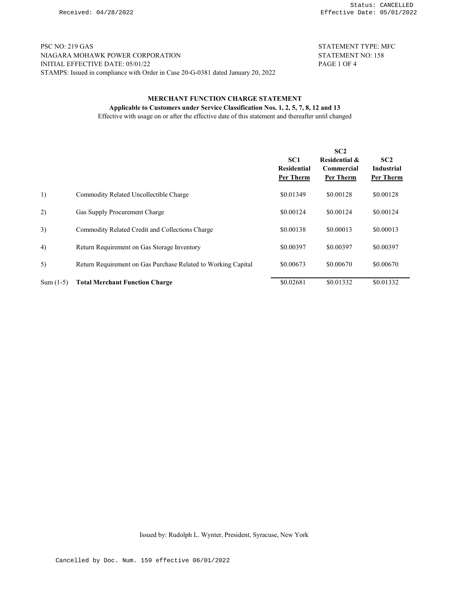PSC NO: 219 GAS STATEMENT TYPE: MFC NIAGARA MOHAWK POWER CORPORATION STATEMENT NO: 158 INITIAL EFFECTIVE DATE: 05/01/22 PAGE 1 OF 4 INITIAL EFFECTIVE DATE:  $05/01/22$ STAMPS: Issued in compliance with Order in Case 20-G-0381 dated January 20, 2022

## MERCHANT FUNCTION CHARGE STATEMENT Applicable to Customers under Service Classification Nos. 1, 2, 5, 7, 8, 12 and 13

Effective with usage on or after the effective date of this statement and thereafter until changed

|             |                                                               | SC <sub>1</sub><br><b>Residential</b><br>Per Therm | SC2<br><b>Residential &amp;</b><br><b>Commercial</b><br>Per Therm | SC2<br><b>Industrial</b><br>Per Therm |
|-------------|---------------------------------------------------------------|----------------------------------------------------|-------------------------------------------------------------------|---------------------------------------|
| 1)          | Commodity Related Uncollectible Charge                        | \$0.01349                                          | \$0.00128                                                         | \$0.00128                             |
| 2)          | Gas Supply Procurement Charge                                 | \$0.00124                                          | \$0.00124                                                         | \$0.00124                             |
| 3)          | Commodity Related Credit and Collections Charge               | \$0.00138                                          | \$0.00013                                                         | \$0.00013                             |
| 4)          | Return Requirement on Gas Storage Inventory                   | \$0.00397                                          | \$0.00397                                                         | \$0.00397                             |
| 5)          | Return Requirement on Gas Purchase Related to Working Capital | \$0.00673                                          | \$0.00670                                                         | \$0.00670                             |
| $Sum (1-5)$ | <b>Total Merchant Function Charge</b>                         | \$0.02681                                          | \$0.01332                                                         | \$0.01332                             |

Issued by: Rudolph L. Wynter, President, Syracuse, New York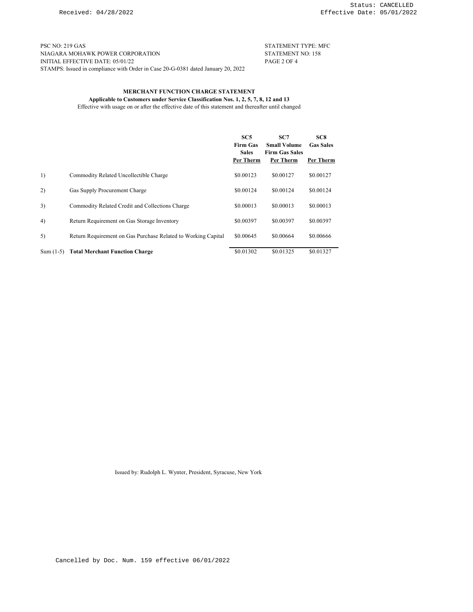PSC NO: 219 GAS STATEMENT TYPE: MFC NIAGARA MOHAWK POWER CORPORATION STATEMENT NO: 158 NIAGARA MOHAWK POWER CORPORATION INITIAL EFFECTIVE DATE: 05/01/22 PAGE 2 OF 4 STAMPS: Issued in compliance with Order in Case 20-G-0381 dated January 20, 2022

# MERCHANT FUNCTION CHARGE STATEMENT

Applicable to Customers under Service Classification Nos. 1, 2, 5, 7, 8, 12 and 13 Effective with usage on or after the effective date of this statement and thereafter until changed

|             |                                                               | SC <sub>5</sub><br><b>Firm Gas</b><br><b>Sales</b><br>Per Therm | SC7<br><b>Small Volume</b><br><b>Firm Gas Sales</b><br>Per Therm | SC <sub>8</sub><br><b>Gas Sales</b><br>Per Therm |
|-------------|---------------------------------------------------------------|-----------------------------------------------------------------|------------------------------------------------------------------|--------------------------------------------------|
| 1)          | Commodity Related Uncollectible Charge                        | \$0.00123                                                       | \$0.00127                                                        | \$0.00127                                        |
| 2)          | Gas Supply Procurement Charge                                 | \$0.00124                                                       | \$0.00124                                                        | \$0.00124                                        |
| 3)          | Commodity Related Credit and Collections Charge               | \$0.00013                                                       | \$0.00013                                                        | \$0.00013                                        |
| 4)          | Return Requirement on Gas Storage Inventory                   | \$0.00397                                                       | \$0.00397                                                        | \$0.00397                                        |
| 5)          | Return Requirement on Gas Purchase Related to Working Capital | \$0.00645                                                       | \$0.00664                                                        | \$0.00666                                        |
| Sum $(1-5)$ | <b>Total Merchant Function Charge</b>                         | \$0.01302                                                       | \$0.01325                                                        | \$0.01327                                        |

Issued by: Rudolph L. Wynter, President, Syracuse, New York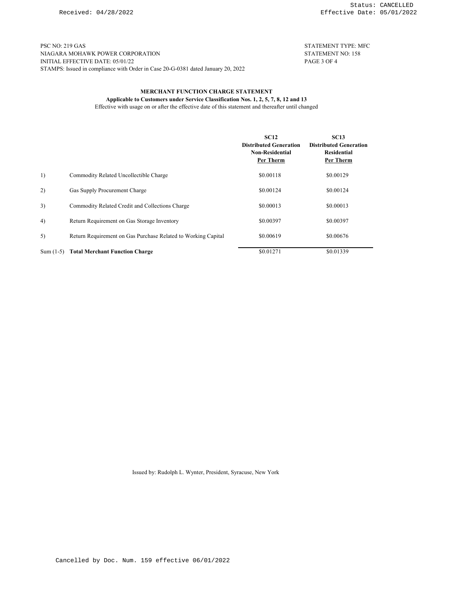PSC NO: 219 GAS STATEMENT TYPE: MFC NIAGARA MOHAWK POWER CORPORATION STATEMENT NO: 158 NIAGARA MOHAWK POWER CORPORATION INITIAL EFFECTIVE DATE: 05/01/22 PAGE 3 OF 4 STAMPS: Issued in compliance with Order in Case 20-G-0381 dated January 20, 2022

## MERCHANT FUNCTION CHARGE STATEMENT

Applicable to Customers under Service Classification Nos. 1, 2, 5, 7, 8, 12 and 13 Effective with usage on or after the effective date of this statement and thereafter until changed

|             |                                                               | <b>SC12</b><br><b>Distributed Generation</b><br><b>Non-Residential</b><br>Per Therm | <b>SC13</b><br><b>Distributed Generation</b><br><b>Residential</b><br>Per Therm |
|-------------|---------------------------------------------------------------|-------------------------------------------------------------------------------------|---------------------------------------------------------------------------------|
| 1)          | Commodity Related Uncollectible Charge                        | \$0.00118                                                                           | \$0.00129                                                                       |
| 2)          | Gas Supply Procurement Charge                                 | \$0.00124                                                                           | \$0.00124                                                                       |
| 3)          | Commodity Related Credit and Collections Charge               | \$0.00013                                                                           | \$0.00013                                                                       |
| 4)          | Return Requirement on Gas Storage Inventory                   | \$0.00397                                                                           | \$0.00397                                                                       |
| 5)          | Return Requirement on Gas Purchase Related to Working Capital | \$0.00619                                                                           | \$0.00676                                                                       |
| $Sum (1-5)$ | <b>Total Merchant Function Charge</b>                         | \$0.01271                                                                           | \$0.01339                                                                       |

Issued by: Rudolph L. Wynter, President, Syracuse, New York